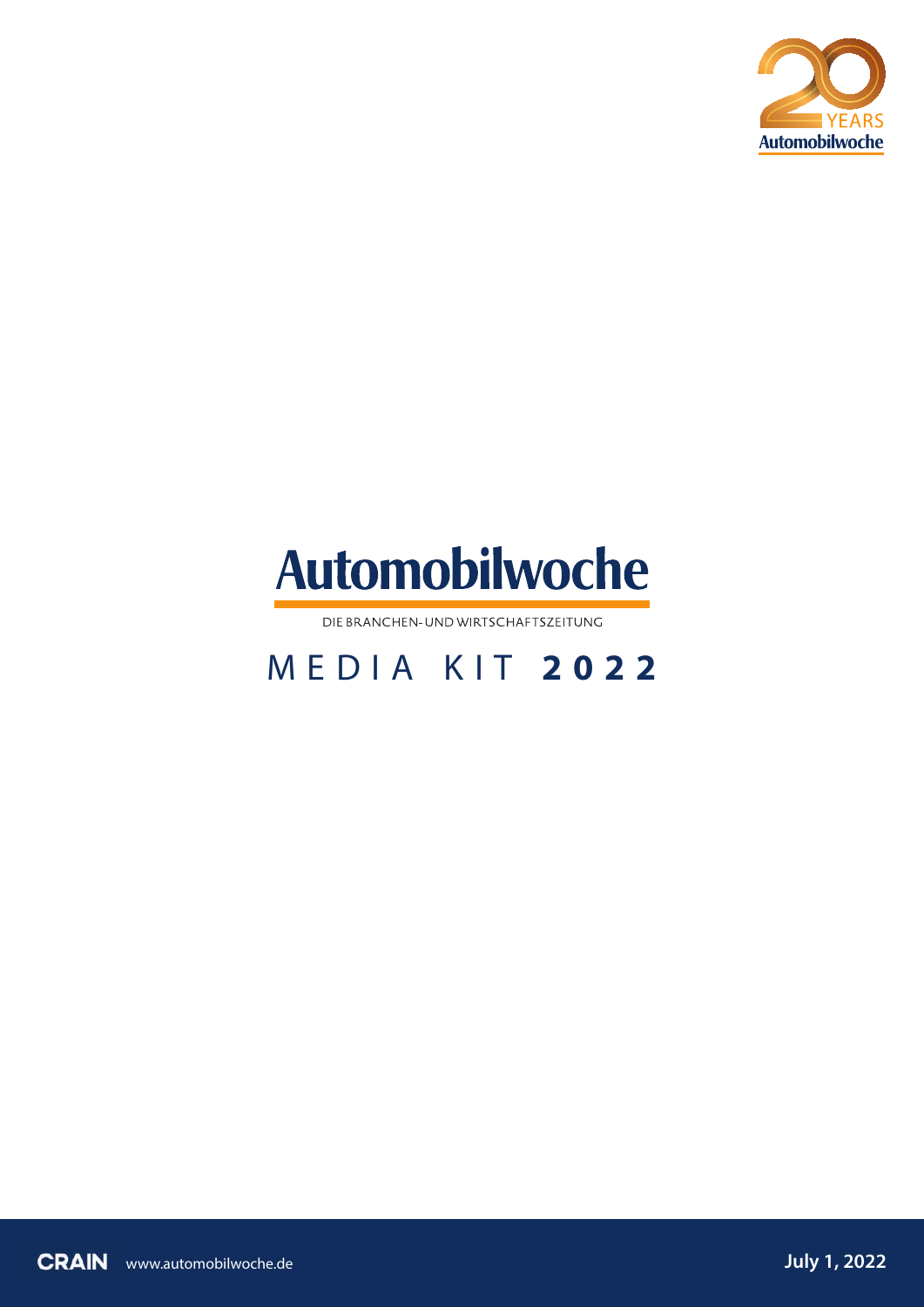



DIE BRANCHEN- UND WIRTSCHAFTSZEITUNG

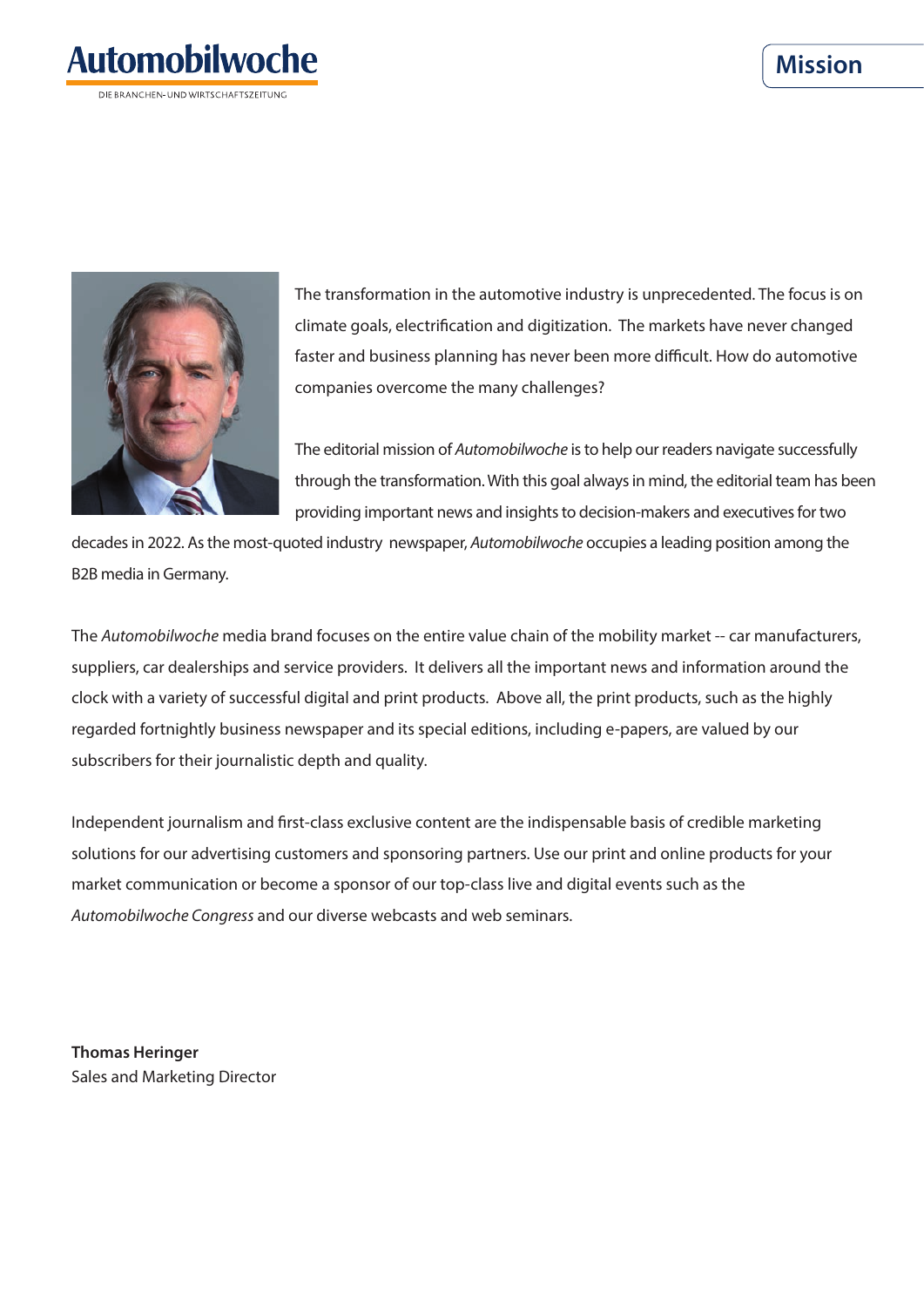#### **Mission**





The transformation in the automotive industry is unprecedented. The focus is on climate goals, electrification and digitization. The markets have never changed faster and business planning has never been more difficult. How do automotive companies overcome the many challenges?

The editorial mission of *Automobilwoche* is to help our readers navigate successfully through the transformation. With this goal always in mind, the editorial team has been providing important news and insights to decision-makers and executives for two

decades in 2022. As the most-quoted industry newspaper, *Automobilwoche* occupies a leading position among the B2B media in Germany.

The *Automobilwoche* media brand focuses on the entire value chain of the mobility market -- car manufacturers, suppliers, car dealerships and service providers. It delivers all the important news and information around the clock with a variety of successful digital and print products. Above all, the print products, such as the highly regarded fortnightly business newspaper and its special editions, including e-papers, are valued by our subscribers for their journalistic depth and quality.

Independent journalism and first-class exclusive content are the indispensable basis of credible marketing solutions for our advertising customers and sponsoring partners. Use our print and online products for your market communication or become a sponsor of our top-class live and digital events such as the *Automobilwoche Congress* and our diverse webcasts and web seminars.

**Thomas Heringer** Sales and Marketing Director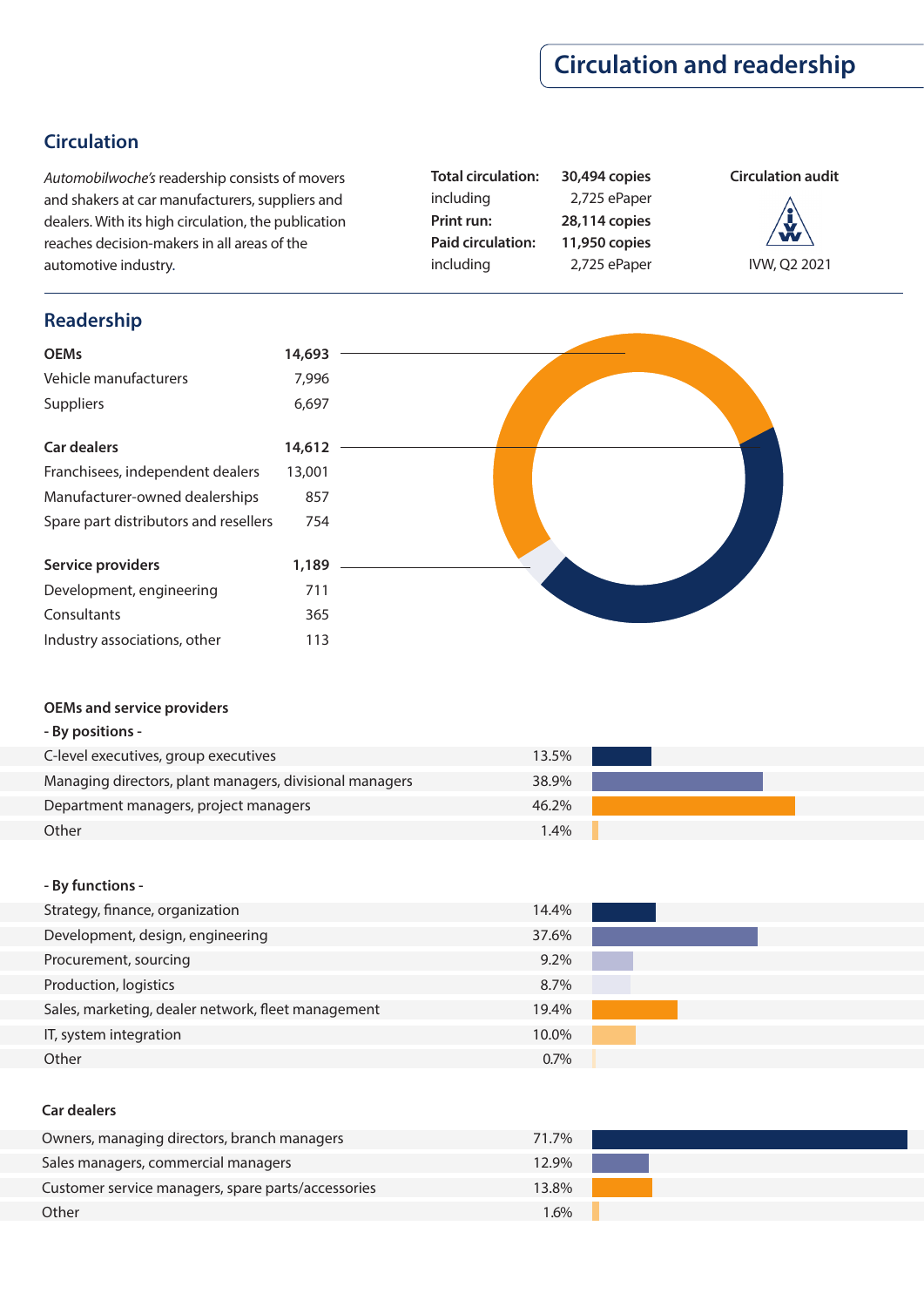## **Circulation and readership**

#### **Circulation**

*Automobilwoche's* readership consists of movers and shakers at car manufacturers, suppliers and dealers. With its high circulation, the publication reaches decision-makers in all areas of the automotive industry.

**Total circulation: 30,494 copies** including 2,725 ePaper **Print run: 28,114 copies Paid circulation: 11,950 copies** including 2,725 ePaper

## **Circulation audit**

IVW, Q2 2021



#### **OEMs and service providers**

|  | By positions - |  |
|--|----------------|--|
|  |                |  |

| C-level executives, group executives                    | 13.5%   |  |
|---------------------------------------------------------|---------|--|
| Managing directors, plant managers, divisional managers | 38.9%   |  |
| Department managers, project managers                   | 46.2%   |  |
| Other                                                   | $1.4\%$ |  |

#### **- By functions -**

| Strategy, finance, organization                    | 14.4%   |  |
|----------------------------------------------------|---------|--|
| Development, design, engineering                   | 37.6%   |  |
| Procurement, sourcing                              | $9.2\%$ |  |
| Production, logistics                              | 8.7%    |  |
| Sales, marketing, dealer network, fleet management | 19.4%   |  |
| IT, system integration                             | 10.0%   |  |
| Other                                              | 0.7%    |  |

#### **Car dealers**

| Owners, managing directors, branch managers        | 71.7%   |
|----------------------------------------------------|---------|
| Sales managers, commercial managers                | 12.9%   |
| Customer service managers, spare parts/accessories | 13.8%   |
| Other                                              | $1.6\%$ |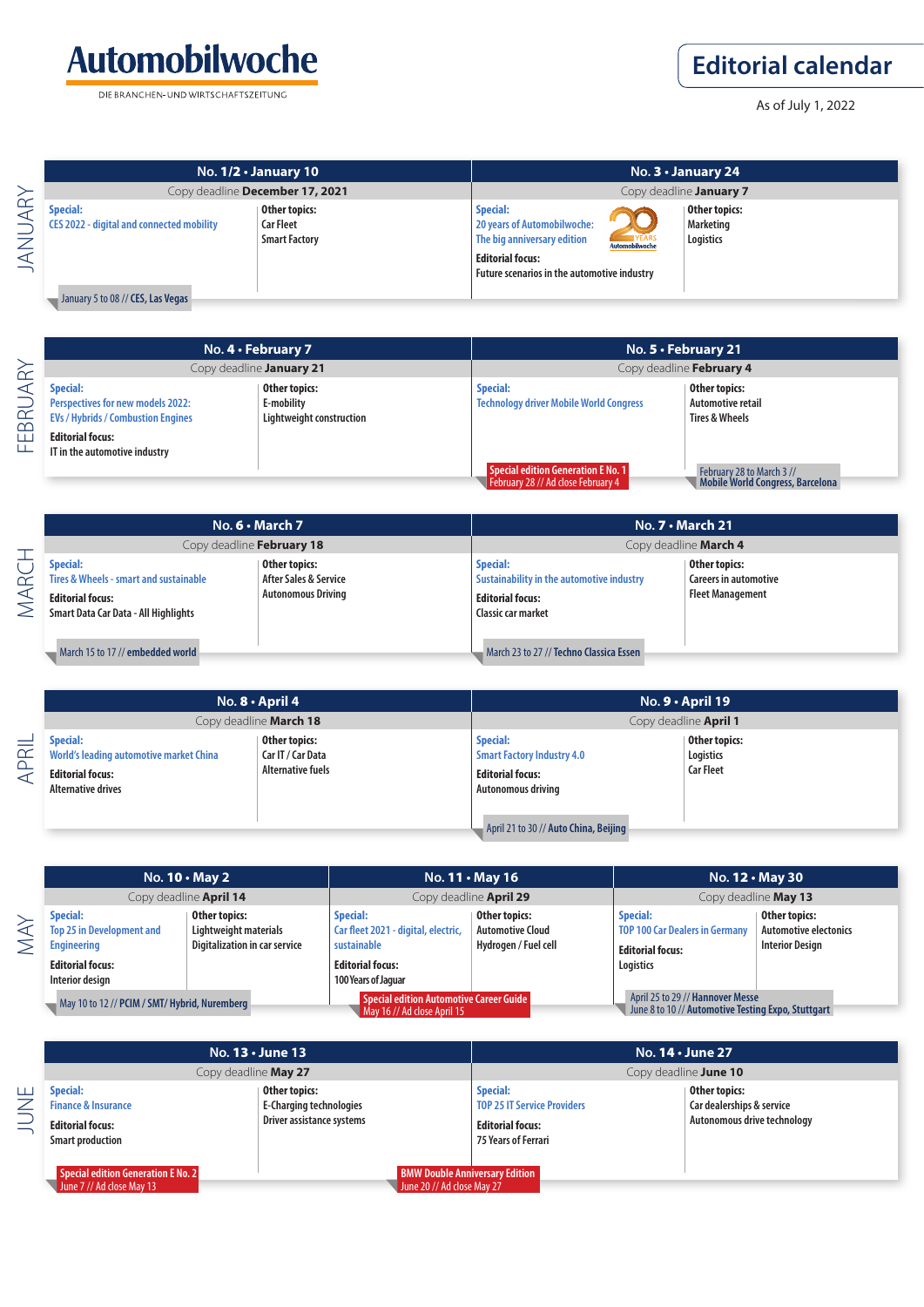

DIE BRANCHEN-UND WIRTSCHAFTSZEITUNG

## **Editorial calendar**

As of July 1, 2022

| No. $1/2 \cdot$ January 10                                                                                                |                                 | No. $3 \cdot$ January 24                                                                                                                                                                                               |  |
|---------------------------------------------------------------------------------------------------------------------------|---------------------------------|------------------------------------------------------------------------------------------------------------------------------------------------------------------------------------------------------------------------|--|
|                                                                                                                           | Copy deadline December 17, 2021 | Copy deadline January 7                                                                                                                                                                                                |  |
| <b>Special:</b><br>Other topics:<br>CES 2022 - digital and connected mobility<br><b>Car Fleet</b><br><b>Smart Factory</b> |                                 | Other topics:<br>Special:<br>20 years of Automobilwoche:<br>Marketing<br>YEARS<br>The big anniversary edition<br>Logistics<br>Automobilwoche<br><b>Editorial focus:</b><br>Future scenarios in the automotive industry |  |

FEBRUARY FEBRUARY

| No. 4 • February 7                                                                                                                  |                                                         | No. 5 · February 21                                                      |                                                                 |  |
|-------------------------------------------------------------------------------------------------------------------------------------|---------------------------------------------------------|--------------------------------------------------------------------------|-----------------------------------------------------------------|--|
|                                                                                                                                     | Copy deadline January 21                                | Copy deadline February 4                                                 |                                                                 |  |
| <b>Special:</b><br><b>Perspectives for new models 2022:</b><br><b>EVs / Hybrids / Combustion Engines</b><br><b>Editorial focus:</b> | Other topics:<br>E-mobility<br>Lightweight construction | <b>Special:</b><br><b>Technology driver Mobile World Congress</b>        | Other topics:<br>Automotive retail<br><b>Tires &amp; Wheels</b> |  |
| IT in the automotive industry                                                                                                       |                                                         | Special edition Generation E No. 1<br>February 28 // Ad close February 4 | February 28 to March 3 //<br>Mobile World Congress, Barcelona   |  |

|                     |                                                                                                                              | No. $6 \cdot$ March 7                                               | No. $7 \cdot$ March 21                                                                                 |                                                                   |
|---------------------|------------------------------------------------------------------------------------------------------------------------------|---------------------------------------------------------------------|--------------------------------------------------------------------------------------------------------|-------------------------------------------------------------------|
|                     | Copy deadline February 18                                                                                                    |                                                                     |                                                                                                        | Copy deadline March 4                                             |
| $\bar{\alpha}$<br>◁ | <b>Special:</b><br>Tires & Wheels - smart and sustainable<br><b>Editorial focus:</b><br>Smart Data Car Data - All Highlights | Other topics:<br>After Sales & Service<br><b>Autonomous Driving</b> | Special:<br>Sustainability in the automotive industry<br><b>Editorial focus:</b><br>Classic car market | Other topics:<br><b>Careers in automotive</b><br>Fleet Management |
|                     | March 15 to 17 // embedded world                                                                                             |                                                                     | March 23 to 27 // Techno Classica Essen                                                                |                                                                   |

|                                                      |                                                                                                                    | No. $8 \cdot$ April 4                                          |                                                                                                                                                       | $No. 9 \cdot April 19$                         |
|------------------------------------------------------|--------------------------------------------------------------------------------------------------------------------|----------------------------------------------------------------|-------------------------------------------------------------------------------------------------------------------------------------------------------|------------------------------------------------|
|                                                      |                                                                                                                    | Copy deadline March 18                                         |                                                                                                                                                       | Copy deadline <b>April 1</b>                   |
| $=$<br>$\propto$<br>$\Omega$<br>$\blacktriangleleft$ | <b>Special:</b><br>World's leading automotive market China<br><b>Editorial focus:</b><br><b>Alternative drives</b> | Other topics:<br>Car IT / Car Data<br><b>Alternative fuels</b> | <b>Special:</b><br><b>Smart Factory Industry 4.0</b><br><b>Editorial focus:</b><br><b>Autonomous driving</b><br>April 21 to 30 // Auto China, Beijing | Other topics:<br>Logistics<br><b>Car Fleet</b> |

|        |                                                                                                                         | No. $10 \cdot$ May 2                                                           |                                                                                                                         | No. $11 \cdot$ May 16                                            |                                                                                                  | No. 12 . May 30                                                         |
|--------|-------------------------------------------------------------------------------------------------------------------------|--------------------------------------------------------------------------------|-------------------------------------------------------------------------------------------------------------------------|------------------------------------------------------------------|--------------------------------------------------------------------------------------------------|-------------------------------------------------------------------------|
|        |                                                                                                                         | Copy deadline <b>April 14</b>                                                  |                                                                                                                         | Copy deadline <b>April 29</b>                                    |                                                                                                  | Copy deadline May 13                                                    |
| $\geq$ | <b>Special:</b><br><b>Top 25 in Development and</b><br><b>Engineering</b><br><b>Editorial focus:</b><br>Interior design | Other topics:<br>Lightweight materials<br><b>Digitalization in car service</b> | <b>Special:</b><br>Car fleet 2021 - digital, electric,<br>sustainable<br><b>Editorial focus:</b><br>100 Years of Jaquar | Other topics:<br><b>Automotive Cloud</b><br>Hydrogen / Fuel cell | <b>Special:</b><br><b>TOP 100 Car Dealers in Germany</b><br><b>Editorial focus:</b><br>Logistics | Other topics:<br><b>Automotive electonics</b><br><b>Interior Design</b> |
|        | May 10 to 12 // PCIM / SMT/ Hybrid, Nuremberg                                                                           |                                                                                | Special edition Automotive Career Guide<br>May 16 // Ad close April 15                                                  |                                                                  | April 25 to 29 // Hannover Messe<br>June 8 to 10 // Automotive Testing Expo, Stuttgart           |                                                                         |

|                                                                                                         | No. $13 \cdot$ June 13                                                       |                                                                                                                | No. <b>14 · June 27</b>                                                   |  |  |
|---------------------------------------------------------------------------------------------------------|------------------------------------------------------------------------------|----------------------------------------------------------------------------------------------------------------|---------------------------------------------------------------------------|--|--|
|                                                                                                         | Copy deadline May 27                                                         |                                                                                                                | Copy deadline June 10                                                     |  |  |
| <b>Special:</b><br><b>Finance &amp; Insurance</b><br><b>Editorial focus:</b><br><b>Smart production</b> | Other topics:<br><b>E-Charging technologies</b><br>Driver assistance systems | <b>Special:</b><br><b>TOP 25 IT Service Providers</b><br><b>Editorial focus:</b><br><b>75 Years of Ferrari</b> | Other topics:<br>Car dealerships & service<br>Autonomous drive technology |  |  |
| Special edition Generation E No. 2<br>June 7 // Ad close May 13                                         |                                                                              | <b>BMW Double Anniversary Edition</b><br>June 20 // Ad close May 27                                            |                                                                           |  |  |

JUNE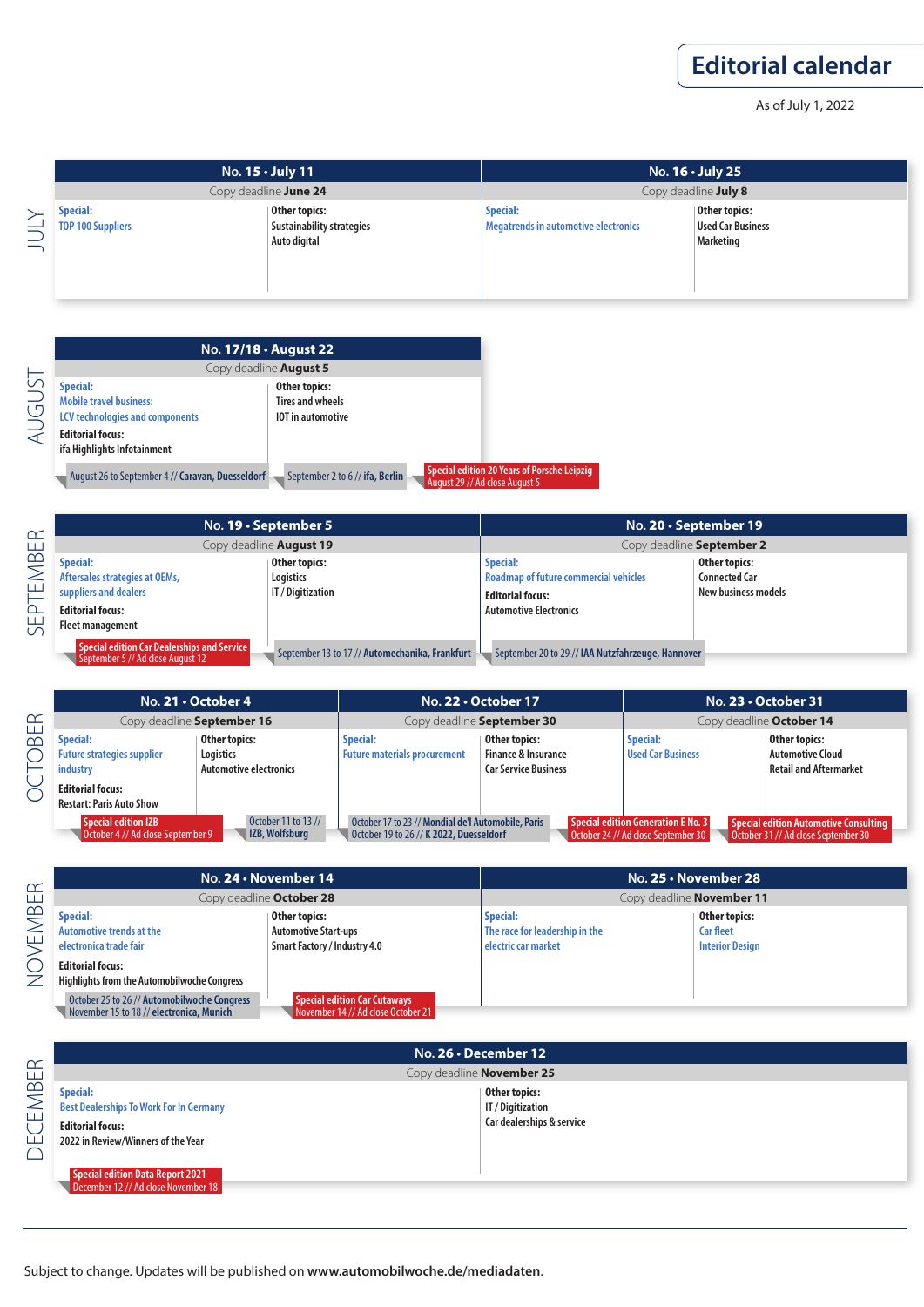As of July 1, 2022

|          | No. $15 \cdot$ July 11<br>Copy deadline June 24 |                                                                   | No. $16 \cdot$ July 25<br>Copy deadline July 8                 |                                                               |
|----------|-------------------------------------------------|-------------------------------------------------------------------|----------------------------------------------------------------|---------------------------------------------------------------|
| NIN<br>— | <b>Special:</b><br><b>TOP 100 Suppliers</b>     | Other topics:<br><b>Sustainability strategies</b><br>Auto digital | <b>Special:</b><br><b>Megatrends in automotive electronics</b> | Other topics:<br><b>Used Car Business</b><br><b>Marketing</b> |

|              |                                                                                                                                                       | No. 17/18 · August 22                                                                                           |
|--------------|-------------------------------------------------------------------------------------------------------------------------------------------------------|-----------------------------------------------------------------------------------------------------------------|
|              |                                                                                                                                                       | Copy deadline <b>August 5</b>                                                                                   |
| <b>UGUST</b> | <b>Special:</b><br><b>Mobile travel business:</b><br><b>LCV technologies and components</b><br><b>Editorial focus:</b><br>ifa Highlights Infotainment | Other topics:<br><b>Tires and wheels</b><br><b>IOT</b> in automotive                                            |
|              | August 26 to September 4 // Caravan, Duesseldorf                                                                                                      | <b>Special edition 20 Years of Porsche</b><br>September 2 to 6 // ifa, Berlin<br>August 29 // Ad close August 5 |

| ∝                                           |                                                                                                                           | No. $19 \cdot$ September 5                      | No. 20 $\cdot$ September 19                                                                                          |                                                              |
|---------------------------------------------|---------------------------------------------------------------------------------------------------------------------------|-------------------------------------------------|----------------------------------------------------------------------------------------------------------------------|--------------------------------------------------------------|
|                                             |                                                                                                                           | Copy deadline <b>August 19</b>                  | Copy deadline September 2                                                                                            |                                                              |
| $\infty$<br>$\geq$<br>َٰٰ<br><u>LL</u><br>م | <b>Special:</b><br>Aftersales strategies at OEMs,<br>suppliers and dealers<br><b>Editorial focus:</b><br>Fleet management | Other topics:<br>Logistics<br>IT / Digitization | Special:<br><b>Roadmap of future commercial vehicles</b><br><b>Editorial focus:</b><br><b>Automotive Electronics</b> | Other topics:<br><b>Connected Car</b><br>New business models |
|                                             | Special edition Car Dealerships and Service<br>September 5 // Ad close August 12                                          | September 13 to 17 // Automechanika, Frankfurt  | September 20 to 29 // IAA Nutzfahrzeuge, Hannover                                                                    |                                                              |

Leipzig

|                                                     |                                                                                                                                | No. 21 . October 4                                          |                                                                                               | No. 22 · October 17                                                            |                                                                           | No. $23 \cdot$ October 31                                                           |
|-----------------------------------------------------|--------------------------------------------------------------------------------------------------------------------------------|-------------------------------------------------------------|-----------------------------------------------------------------------------------------------|--------------------------------------------------------------------------------|---------------------------------------------------------------------------|-------------------------------------------------------------------------------------|
| $\propto$<br>$\begin{array}{c} \square \end{array}$ |                                                                                                                                | Copy deadline September 16                                  |                                                                                               | Copy deadline September 30                                                     |                                                                           | Copy deadline October 14                                                            |
| $\infty$                                            | <b>Special:</b><br><b>Future strategies supplier</b><br>industry<br><b>Editorial focus:</b><br><b>Restart: Paris Auto Show</b> | Other topics:<br>Logistics<br><b>Automotive electronics</b> | <b>Special:</b><br><b>Future materials procurement</b>                                        | Other topics:<br><b>Finance &amp; Insurance</b><br><b>Car Service Business</b> | <b>Special:</b><br><b>Used Car Business</b>                               | Other topics:<br><b>Automotive Cloud</b><br><b>Retail and Aftermarket</b>           |
|                                                     | <b>Special edition IZB</b><br>October 4 // Ad close September 9                                                                | October 11 to 13 //<br><b>IZB, Wolfsburg</b>                | October 17 to 23 // Mondial de'l Automobile, Paris<br>October 19 to 26 // K 2022, Duesseldorf |                                                                                | Special edition Generation E No. 3<br>October 24 // Ad close September 30 | <b>Special edition Automotive Consulting</b><br>October 31 // Ad close September 30 |

| $\alpha$  |                                                                                                                                                                                                              | No. 24 . November 14                                                                                                |                                                                          | No. $25 \cdot$ November 28                                  |
|-----------|--------------------------------------------------------------------------------------------------------------------------------------------------------------------------------------------------------------|---------------------------------------------------------------------------------------------------------------------|--------------------------------------------------------------------------|-------------------------------------------------------------|
| ய         |                                                                                                                                                                                                              | Copy deadline October 28                                                                                            | Copy deadline November 11                                                |                                                             |
| /EMB<br>Z | <b>Special:</b><br><b>Automotive trends at the</b><br>electronica trade fair<br><b>Editorial focus:</b><br><b>Highlights from the Automobilwoche Congress</b><br>October 25 to 26 // Automobilwoche Congress | Other topics:<br><b>Automotive Start-ups</b><br><b>Smart Factory / Industry 4.0</b><br>Special edition Car Cutaways | <b>Special:</b><br>The race for leadership in the<br>electric car market | Other topics:<br><b>Car fleet</b><br><b>Interior Design</b> |
|           | November 15 to 18 // electronica, Munich                                                                                                                                                                     | November 14 // Ad close October 21                                                                                  |                                                                          |                                                             |

| $\alpha$  |                                                                                                                                    | No. $26 \cdot$ December 12                                      |  |  |  |
|-----------|------------------------------------------------------------------------------------------------------------------------------------|-----------------------------------------------------------------|--|--|--|
|           | Copy deadline November 25                                                                                                          |                                                                 |  |  |  |
| EMBE<br>Ш | <b>Special:</b><br><b>Best Dealerships To Work For In Germany</b><br><b>Editorial focus:</b><br>2022 in Review/Winners of the Year | Other topics:<br>IT / Digitization<br>Car dealerships & service |  |  |  |
|           | Special edition Data Report 2021<br>December 12 // Ad close November 18                                                            |                                                                 |  |  |  |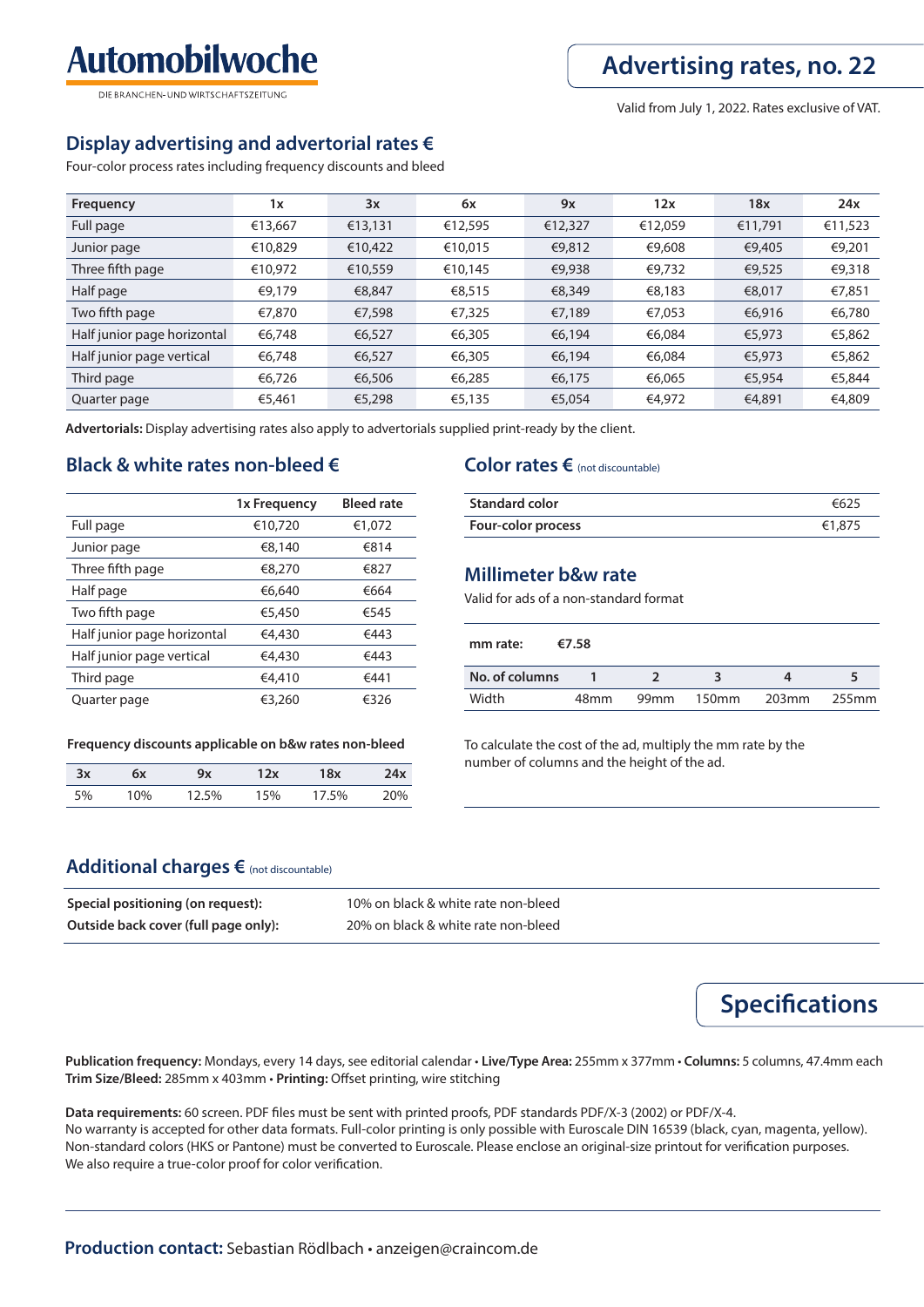Valid from July 1, 2022. Rates exclusive of VAT.

## **Display advertising and advertorial rates €**

**Automobilwoche** 

DIE BRANCHEN-LIND WIRTSCHAFTSZEITLING

Four-color process rates including frequency discounts and bleed

| Frequency                   | 1x      | 3x      | 6x      | 9x      | 12x     | 18x     | 24x     |
|-----------------------------|---------|---------|---------|---------|---------|---------|---------|
| Full page                   | €13,667 | €13,131 | €12,595 | €12,327 | €12,059 | €11,791 | €11,523 |
| Junior page                 | €10,829 | €10,422 | €10,015 | €9,812  | €9,608  | €9,405  | €9,201  |
| Three fifth page            | €10,972 | €10,559 | €10,145 | €9,938  | €9,732  | €9,525  | €9,318  |
| Half page                   | €9,179  | €8,847  | €8,515  | €8,349  | €8,183  | €8,017  | €7,851  |
| Two fifth page              | €7,870  | €7,598  | €7,325  | €7,189  | €7,053  | €6,916  | €6,780  |
| Half junior page horizontal | €6,748  | €6,527  | €6,305  | €6,194  | €6,084  | €5,973  | €5,862  |
| Half junior page vertical   | €6,748  | €6,527  | €6,305  | €6,194  | €6,084  | €5,973  | €5,862  |
| Third page                  | €6,726  | €6,506  | €6,285  | €6,175  | €6,065  | €5,954  | €5,844  |
| Quarter page                | €5,461  | €5,298  | €5,135  | €5,054  | €4,972  | €4,891  | €4,809  |

**Advertorials:** Display advertising rates also apply to advertorials supplied print-ready by the client.

#### **Black & white rates non-bleed €**

|                             | 1x Frequency | <b>Bleed rate</b> |
|-----------------------------|--------------|-------------------|
| Full page                   | €10,720      | €1,072            |
| Junior page                 | €8,140       | €814              |
| Three fifth page            | €8,270       | €827              |
| Half page                   | €6.640       | €664              |
| Two fifth page              | €5,450       | €545              |
| Half junior page horizontal | €4,430       | €443              |
| Half junior page vertical   | €4,430       | €443              |
| Third page                  | €4,410       | €441              |
| Quarter page                | €3,260       | €326              |

#### **Frequency discounts applicable on b&w rates non-bleed**

| 3x | 6x  | 9х    | '2x | 18x   | 24x   |
|----|-----|-------|-----|-------|-------|
| 5% | 10% | 12.5% | 15% | 17.5% | $0\%$ |

#### **Color rates €** (not discountable)

| <b>Standard color</b> | €625   |
|-----------------------|--------|
| Four-color process    | €1,875 |

#### **Millimeter b&w rate**

Valid for ads of a non-standard format

| mm rate:       | €7.58 |                  |                   |       |       |
|----------------|-------|------------------|-------------------|-------|-------|
| No. of columns |       |                  |                   |       |       |
| Width          | 48mm  | 99 <sub>mm</sub> | 150 <sub>mm</sub> | 203mm | 255mm |

To calculate the cost of the ad, multiply the mm rate by the number of columns and the height of the ad.

#### **Additional charges €** (not discountable)

| Special positioning (on request):    | 10% on black & white rate non-bleed |
|--------------------------------------|-------------------------------------|
| Outside back cover (full page only): | 20% on black & white rate non-bleed |

**Specifications** 

**Publication frequency:** Mondays, every 14 days, see editorial calendar • **Live/Type Area:** 255mm x 377mm • **Columns:** 5 columns, 47.4mm each Trim Size/Bleed: 285mm x 403mm · Printing: Offset printing, wire stitching

Data requirements: 60 screen. PDF files must be sent with printed proofs, PDF standards PDF/X-3 (2002) or PDF/X-4. No warranty is accepted for other data formats. Full-color printing is only possible with Euroscale DIN 16539 (black, cyan, magenta, yellow). Non-standard colors (HKS or Pantone) must be converted to Euroscale. Please enclose an original-size printout for verification purposes. We also require a true-color proof for color verification.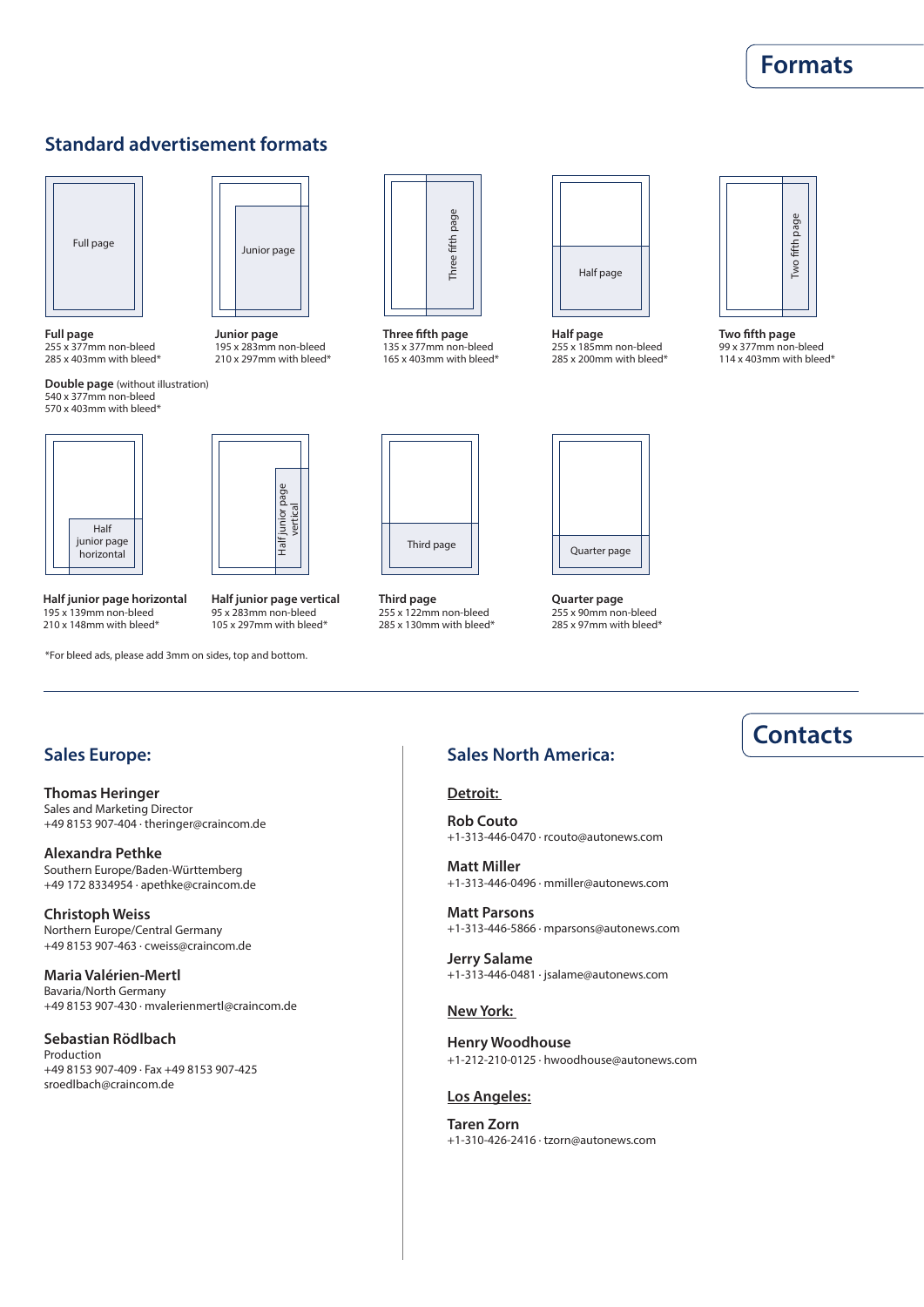#### **Advertising rates, no. 22 Formats**

#### **Standard advertisement formats**



**Full page** 255 x 377mm non-bleed 285 x 403mm with bleed\*

**Double page** (without illustration) 540 x 377mm non-bleed 570 x 403mm with bleed\*



**Junior page** 195 x 283mm non-bleed 210 x 297mm with bleed\*



**Three fifth page** 135 x 377mm non-bleed 165 x 403mm with bleed\*



**Half page** 255 x 185mm non-bleed 285 x 200mm with bleed\*



**Two fifth page** 99 x 377mm non-bleed 114 x 403mm with bleed\*



Half junior page Half junior page<br>vertical

**Half junior page vertical** 95 x 283mm non-bleed 105 x 297mm with bleed\*

**Half junior page horizontal** 195 x 139mm non-bleed 210 x 148mm with bleed\*

\*For bleed ads, please add 3mm on sides, top and bottom.

#### **Sales Europe:**

**Thomas Heringer** Sales and Marketing Director +49 8153 907-404 · theringer@craincom.de

**Alexandra Pethke** Southern Europe/Baden-Württemberg +49 172 8334954 · apethke@craincom.de

**Christoph Weiss** Northern Europe/Central Germany +49 8153 907-463 · cweiss@craincom.de

**Maria Valérien-Mertl** Bavaria/North Germany +49 8153 907-430 · mvalerienmertl@craincom.de

**Sebastian Rödlbach** Production +49 8153 907-409 · Fax +49 8153 907-425 sroedlbach@craincom.de



**Third page** 255 x 122mm non-bleed 285 x 130mm with bleed\*



**Quarter page** 255 x 90mm non-bleed 285 x 97mm with bleed\*

#### **Sales North America:**

#### **Detroit:**

**Rob Couto** +1-313-446-0470 · rcouto@autonews.com

**Matt Miller** +1-313-446-0496 · mmiller@autonews.com

**Matt Parsons** +1-313-446-5866 · mparsons@autonews.com

**Jerry Salame** +1-313-446-0481 · jsalame@autonews.com

#### **New York:**

**Henry Woodhouse** +1-212-210-0125 · hwoodhouse@autonews.com

#### **Los Angeles:**

**Taren Zorn**

### **Contacts**